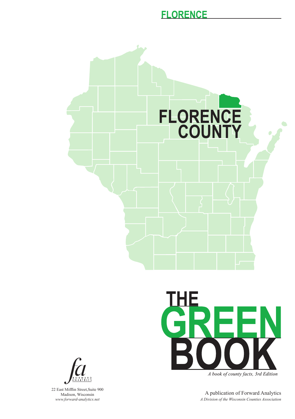



A book of county facts, 3rd Edition

A publication of Forward Analytics *A Division of the Wisconsin Counties Association*



22 East Mifflin Street,Suite 900 Madison, Wisconsin *www.forward-analytics.net*